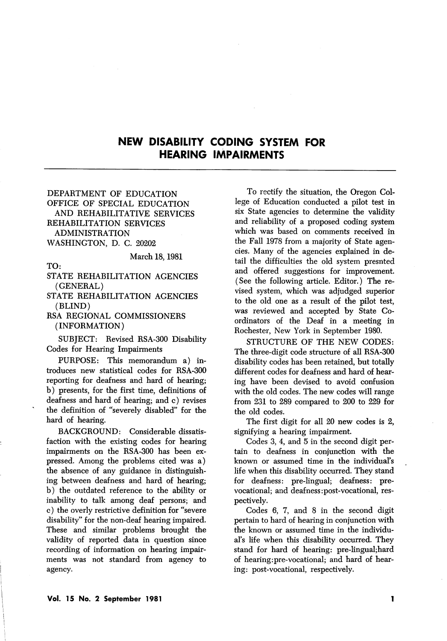## NEW DISABILITY CODING SYSTEM FOR HEARING IMPAIRMENTS

## DEPARTMENT OF EDUCATION OFFICE OF SPECIAL EDUCATION AND REHABILITATIVE SERVICES REHABILITATION SERVICES ADMINISTRATION WASHINGTON, D. C. 20202

## March 18,1981

TO:

STATE REHABILITATION AGENCIES (GENERAL)

STATE REHABILITATION AGENCIES (BLIND)

RSA REGIONAL COMMISSIONERS (INFORMATION)

SUBJECT: Revised RSA-300 Disability Codes for Hearing Impairments

PURPOSE: This memorandum a) in troduces new statistical codes for RSA-300 reporting for deafness and hard of hearing; b) presents, for the first time, definitions of deafness and hard of hearing; and c) revises the definition of "severely disabled'' for the hard of hearing,

BACKGROUND: Considerable dissatis faction with the existing codes for hearing impairments on the RSA-300 has been ex pressed. Among the problems cited was a) the absence of any guidance in distinguish ing between deafness and hard of hearing; b) the outdated reference to the ability or inability to talk among deaf persons; and c) the overly restrictive definition for "severe disability" for the non-deaf hearing impaired. These and similar problems brought the validity of reported data in question since recording of information on hearing impair ments was not standard from agency to agency.

To rectify the situation, the Oregon Col lege of Education conducted a pilot test in six State agencies to determine the validity and reliability of a proposed coding system which was based on comments received in the Fall 1978 from a majority of State agen cies. Many of the agencies explained in de tail the difficulties the old system presnted and offered suggestions for improvement. (See the following article. Editor.) The re vised system, which was adjudged superior to the old one as a result of the pilot test, was reviewed and accepted by State Co ordinators of the Deaf in a meeting in Rochester, New York in September 1980.

STRUCTURE OF THE NEW CODES: The three-digit code structure of all RSA-300 disability codes has been retained, but totally different codes for deafness and hard of hear ing have been devised to avoid confusion with the old codes. The new codes will range from 231 to 289 compared to 200 to 229 for the old codes.

The first digit for all 20 new codes is 2, signifying a hearing impairment.

Codes 3, 4, and 5 in the second digit per tain to deafness in conjunction with the known or assumed time in the individual's life when this disability occurred. They stand for deafness: pre-lingual; deafness: prevocational; and deafness:post-vocational, res pectively.

Codes 6, 7, and 8 in the second digit pertain to hard of hearing in conjunction with the known or assumed time in the individu al's life when this disability occurred. They stand for hard of hearing: pre-lingual;hard of hearing:pre-vocational; and hard of hear ing: post-vocational, respectively.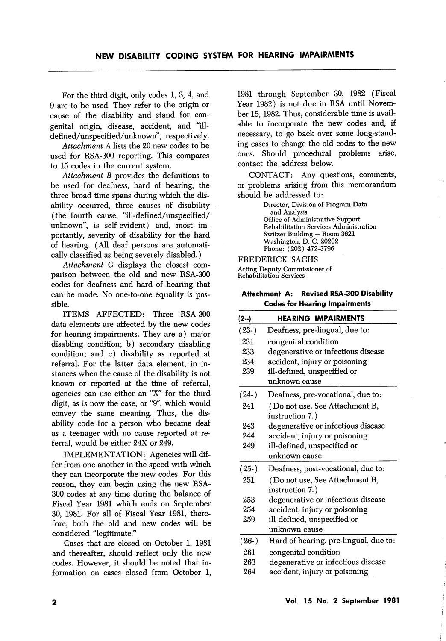For the third digit, only codes 1, 3, 4, and 9 are to be used. They refer to the origin or cause of the disability and stand for con genital origin, disease, accident, and "illdefined/unspecified/unknown', respectively.

Attachment A lists the 20 new codes to be used for RSA-300 reporting. This compares to 15 codes in the current system.

Attachment B provides the definitions to be used for deafness, hard of hearing, the three broad time spans during which the dis ability occurred, three causes of disability (the fourth cause, "ill-defined/unspecified/ unknown", is self-evident) and, most im portantly, severity of disability for the hard of hearing. (All deaf persons are automati cally classified as being severely disabled.)

Attachment C displays the closest com parison between the old and new RSA-300 codes for deafness and hard of hearing that can be made. No one-to-one equality is pos sible.

ITEMS AFFECTED: Three RSA-300 data elements are affected by the new codes for hearing impairments. They are a) major disabling condition; b) secondary disabling condition; and c) disability as reported at referral. For the latter data element, in in stances when the cause of the disability is not known or reported at the time of referral, agencies can use either an "X" for the third digit, as is now the case, or "9", which would convey the same meaning. Thus, the dis ability code for a person who became deaf as a teenager with no cause reported at re ferral, would be either 24X or 249.

IMPLEMENTATION: Agencies will dif fer from one another in the speed with which they can incorporate the new codes. For this reason, they can begin using the new RSA-300 codes at any time during the balance of Fiscal Year I98I which ends on September 30, I98I. For all of Fiscal Year I98I, there fore, both the old and new codes will be considered "legitimate."

Cases that are closed on October I, I98I and thereafter, should reflect only the new codes. However, it should be noted that in formation on cases closed from October I, I98I through September 30, 1982 (Fiscal Year 1982) is not due in RSA until Novem ber 15, 1982. Thus, considerable time is avail able to incorporate the new codes and, if necessary, to go back over some long-stand ing cases to change the old codes to the new ones. Should procedural problems arise, contact the address below.

CONTACT: Any questions, comments, or problems arising from this memorandum should be addressed to:

> Director, Division of Program Data and Analysis Office of Administrative Support Rehabilitation Services Administration Switzer Building — Room 3621 Washington, D. C. 20202 Phone: (202) 472-3796

FREDERICK SACHS Acting Deputy Commissioner of Rehabilitation Services

Attachment A: Revised RSA-300 Disability Codes for Hearing Impairments

| $(2-)$  | <b>HEARING IMPAIRMENTS</b>            |  |
|---------|---------------------------------------|--|
| $(23-)$ | Deafness, pre-lingual, due to:        |  |
| 231     | congenital condition                  |  |
| 233     | degenerative or infectious disease    |  |
| 234     | accident, injury or poisoning         |  |
| 239     | ill-defined, unspecified or           |  |
|         | unknown cause                         |  |
| $(24-)$ | Deafness, pre-vocational, due to:     |  |
| 241     | (Do not use. See Attachment B,        |  |
|         | instruction 7.)                       |  |
| 243     | degenerative or infectious disease    |  |
| 244     | accident, injury or poisoning         |  |
| 249     | ill-defined, unspecified or           |  |
|         | unknown cause                         |  |
| $(25-)$ | Deafness, post-vocational, due to:    |  |
| 251     | ( Do not use, See Attachment B,       |  |
|         | instruction 7.)                       |  |
| 253     | degenerative or infectious disease    |  |
| 254     | accident, injury or poisoning         |  |
| 259     | ill-defined, unspecified or           |  |
|         | unknown cause                         |  |
| $(26-)$ | Hard of hearing, pre-lingual, due to: |  |
| 261     | congenital condition                  |  |
| 263     | degenerative or infectious disease    |  |
| 264     | accident, injury or poisoning         |  |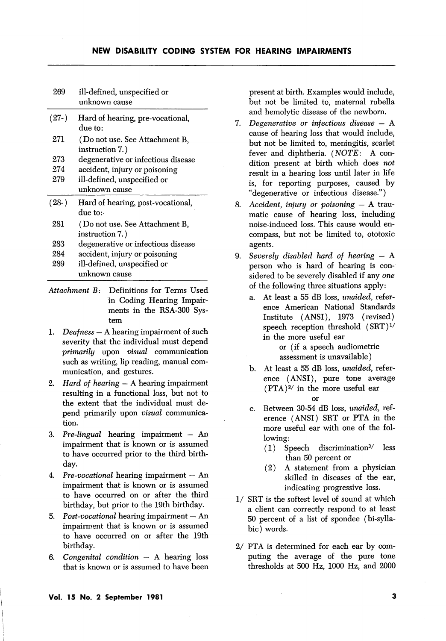| 269     | ill-defined, unspecified or<br>unknown cause       |  |  |
|---------|----------------------------------------------------|--|--|
| $(27-)$ | Hard of hearing, pre-vocational,<br>due to:        |  |  |
| 271     | ( Do not use. See Attachment B,<br>instruction 7.) |  |  |
| 273     | degenerative or infectious disease                 |  |  |
| 274     | accident, injury or poisoning                      |  |  |
| 279     | ill-defined, unspecified or                        |  |  |
|         |                                                    |  |  |
|         | unknown cause                                      |  |  |
| $(28-)$ | Hard of hearing, post-vocational,<br>due to:       |  |  |
| 281     | (Do not use. See Attachment B,<br>instruction 7.)  |  |  |
| 283     | degenerative or infectious disease                 |  |  |
| 284     | accident, injury or poisoning                      |  |  |
| 289     | ill-defined, unspecified or                        |  |  |

- Attachment B: Definitions for Terms Used in Coding Hearing Impair ments in the RSA-300 Sys tem
- 1. Deafness A hearing impairment of such severity that the individual must depend primarily upon visual communication such as writing, lip reading, manual com munication, and gestures.
- 2. *Hard of hearing*  $A$  hearing impairment resulting in a functional loss, but not to the extent that the individual must de pend primarily upon visual communica tion.
- 3. Pre-lingual hearing impairment An impairment that is known or is assumed to have occurred prior to the third birth day.
- 4. Pre-vocational hearing impairment An impairment that is known or is assumed to have occurred on or after the third birthday, but prior to the 19th birthday.
- 5. Post-vocational hearing impairment  $-$  An impairment that is known or is assumed to have occurred on or after the 19th birthday.
- 6. Congenital condition A hearing loss that is known or is assumed to have been

present at birth. Examples would include, but not be limited to, maternal rubella and hemolytic disease of the newborn.

- 7. Degenerative or infectious disease  $-$  A cause of hearing loss that would include, but not be limited to, meningitis, scarlet fever and diphtheria. (NOTE: A con dition present at birth which does not result in a hearing loss until later in life is, for reporting purposes, caused by "degenerative or infectious disease.")
- 8. Accident, injury or poisoning  $-$  A traumatic cause of hearing loss, including noise-induced loss. This cause would en compass, but not be limited to, ototoxic agents.
- 9. Severely disabled hard of hearing  $-$  A person who is hard of hearing is con sidered to be severely disabled if any one of the following three situations apply:
	- a. At least a 55 dB loss, unaided, refer ence American National Standards Institute (ANSI), 1973 (revised) speech reception threshold  $(SRT)^{1/2}$ in the more useful ear

or (if a speech audiometric assessment is unavailable)

- b. At least a 55 dB loss, unaided, refer ence (ANSI), pure tone average  $(PTA)^{2/}$  in the more useful ear or
- c. Between 30-54 dB loss, unaided, ref erence (ANSI) SRT or PTA in the more useful ear with one of the fol lowing:
	- $(1)$  Speech discrimination<sup>3</sup>/ less than 50 percent or
	- (2) A statement from a physician skilled in diseases of the ear, indicating progressive loss.
- 1/ SRT is the softest level of sound at which a client can correctly respond to at least 50 percent of a list of spondee (bi-syllabic) words.
- 2/ PTA is determined for each ear by com puting the average of the pure tone thresholds at 500 Hz, 1000 Hz, and 2000